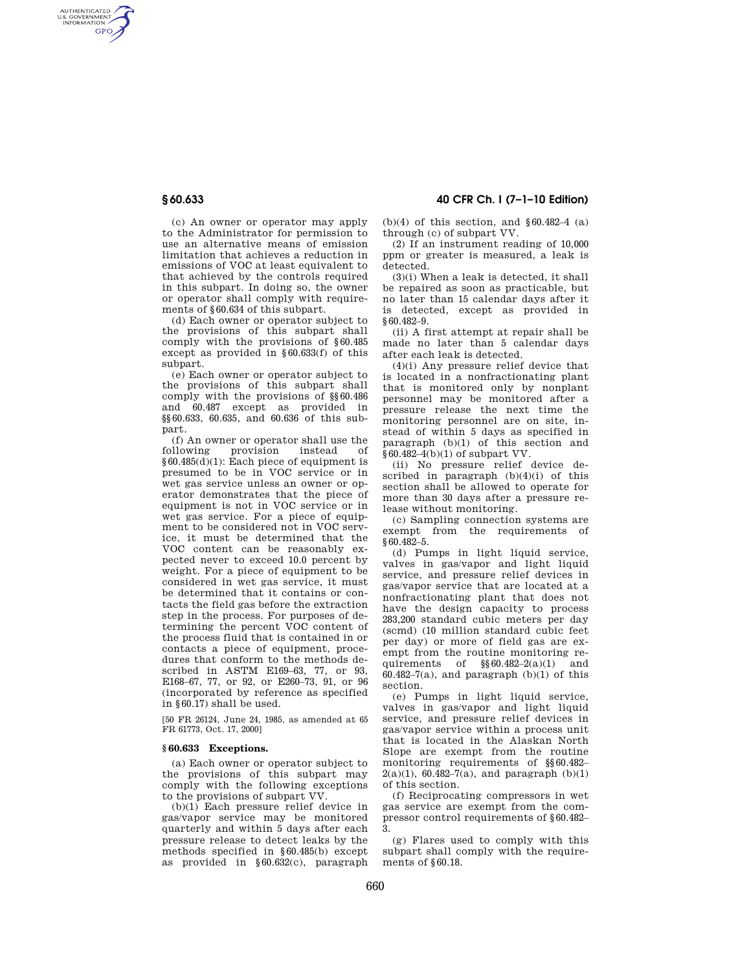AUTHENTICATED<br>U.S. GOVERNMENT<br>INFORMATION **GPO** 

> (c) An owner or operator may apply to the Administrator for permission to use an alternative means of emission limitation that achieves a reduction in emissions of VOC at least equivalent to that achieved by the controls required in this subpart. In doing so, the owner or operator shall comply with requirements of §60.634 of this subpart.

> (d) Each owner or operator subject to the provisions of this subpart shall comply with the provisions of §60.485 except as provided in §60.633(f) of this subpart.

> (e) Each owner or operator subject to the provisions of this subpart shall comply with the provisions of §§60.486 and 60.487 except as provided in §§60.633, 60.635, and 60.636 of this subpart.

> (f) An owner or operator shall use the following provision instead of §60.485(d)(1): Each piece of equipment is presumed to be in VOC service or in wet gas service unless an owner or operator demonstrates that the piece of equipment is not in VOC service or in wet gas service. For a piece of equipment to be considered not in VOC service, it must be determined that the VOC content can be reasonably expected never to exceed 10.0 percent by weight. For a piece of equipment to be considered in wet gas service, it must be determined that it contains or contacts the field gas before the extraction step in the process. For purposes of determining the percent VOC content of the process fluid that is contained in or contacts a piece of equipment, procedures that conform to the methods described in ASTM E169–63, 77, or 93, E168–67, 77, or 92, or E260–73, 91, or 96 (incorporated by reference as specified in §60.17) shall be used.

[50 FR 26124, June 24, 1985, as amended at 65 FR 61773, Oct. 17, 2000]

# **§ 60.633 Exceptions.**

(a) Each owner or operator subject to the provisions of this subpart may comply with the following exceptions to the provisions of subpart VV.

(b)(1) Each pressure relief device in gas/vapor service may be monitored quarterly and within 5 days after each pressure release to detect leaks by the methods specified in §60.485(b) except as provided in §60.632(c), paragraph

**§ 60.633 40 CFR Ch. I (7–1–10 Edition)** 

 $(b)(4)$  of this section, and §60.482-4  $(a)$ through (c) of subpart VV.

(2) If an instrument reading of 10,000 ppm or greater is measured, a leak is detected.

(3)(i) When a leak is detected, it shall be repaired as soon as practicable, but no later than 15 calendar days after it is detected, except as provided in §60.482–9.

(ii) A first attempt at repair shall be made no later than 5 calendar days after each leak is detected.

(4)(i) Any pressure relief device that is located in a nonfractionating plant that is monitored only by nonplant personnel may be monitored after a pressure release the next time the monitoring personnel are on site, instead of within 5 days as specified in paragraph (b)(1) of this section and §60.482–4(b)(1) of subpart VV.

(ii) No pressure relief device described in paragraph  $(b)(4)(i)$  of this section shall be allowed to operate for more than 30 days after a pressure release without monitoring.

(c) Sampling connection systems are exempt from the requirements of §60.482–5.

(d) Pumps in light liquid service, valves in gas/vapor and light liquid service, and pressure relief devices in gas/vapor service that are located at a nonfractionating plant that does not have the design capacity to process 283,200 standard cubic meters per day (scmd) (10 million standard cubic feet per day) or more of field gas are exempt from the routine monitoring requirements of  $\frac{\$60.482 - 2(a)}{1}$  and  $60.482-7(a)$ , and paragraph  $(b)(1)$  of this section.

(e) Pumps in light liquid service, valves in gas/vapor and light liquid service, and pressure relief devices in gas/vapor service within a process unit that is located in the Alaskan North Slope are exempt from the routine monitoring requirements of §§60.482–  $2(a)(1)$ , 60.482–7(a), and paragraph (b)(1) of this section.

(f) Reciprocating compressors in wet gas service are exempt from the compressor control requirements of §60.482– 3.

(g) Flares used to comply with this subpart shall comply with the requirements of §60.18.